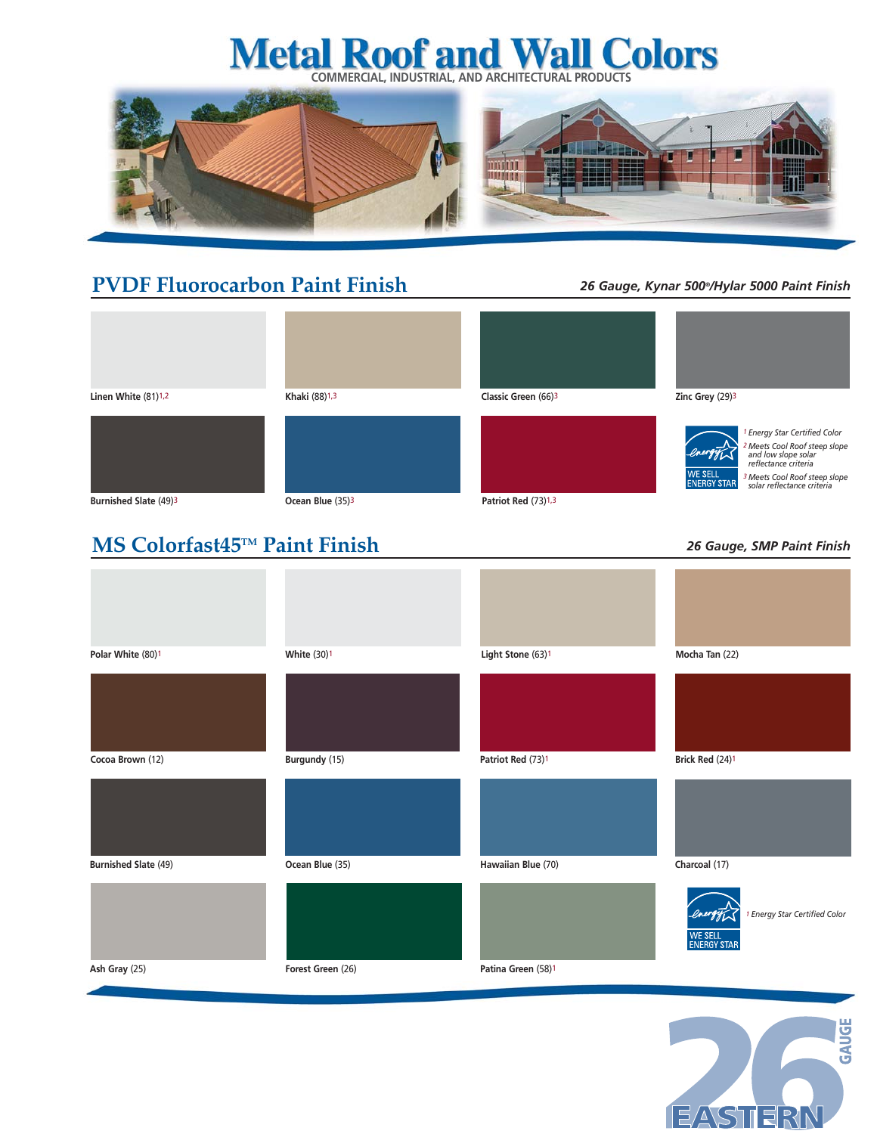# **Metal Roof and Wall Colors**



## **PVDF Fluorocarbon Paint Finish**

### *26 Gauge, Kynar 500®/Hylar 5000 Paint Finish*

| Linen White (81)1,2          | Khaki (88)1,3                | Classic Green (66)3 | Zinc Grey (29)3                                                                                                                                                                                                                         |
|------------------------------|------------------------------|---------------------|-----------------------------------------------------------------------------------------------------------------------------------------------------------------------------------------------------------------------------------------|
|                              |                              |                     | <sup>1</sup> Energy Star Certified Color<br><sup>2</sup> Meets Cool Roof steep slope<br>and low slope solar<br>reflectance criteria<br>WE SELL<br>ENERGY STAR<br><sup>3</sup> Meets Cool Roof steep slope<br>solar reflectance criteria |
| <b>Burnished Slate (49)3</b> | Ocean Blue (35) <sup>3</sup> | Patriot Red (73)1,3 |                                                                                                                                                                                                                                         |
|                              |                              |                     |                                                                                                                                                                                                                                         |
| MS Colorfast45™ Paint Finish |                              |                     | 26 Gauge, SMP Paint Finish                                                                                                                                                                                                              |
|                              |                              |                     |                                                                                                                                                                                                                                         |
| Polar White (80)1            | <b>White (30)1</b>           | Light Stone (63)1   | Mocha Tan (22)                                                                                                                                                                                                                          |













*1 Energy Star Certified Color*